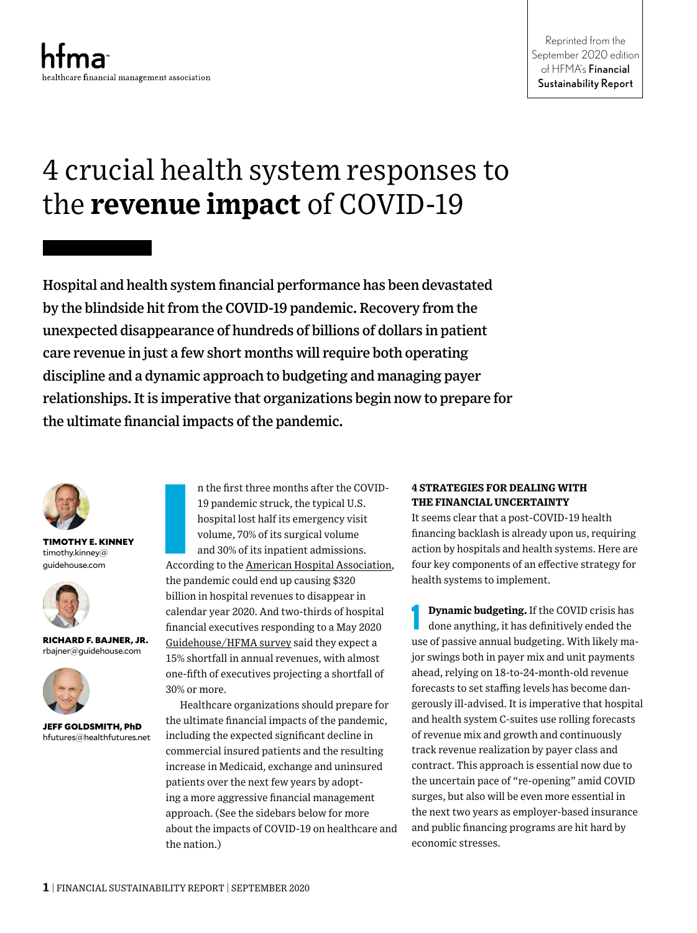# 4 crucial health system responses to the **revenue impact** of COVID-19

Hospital and health system financial performance has been devastated by the blindside hit from the COVID-19 pandemic. Recovery from the unexpected disappearance of hundreds of billions of dollars in patient care revenue in just a few short months will require both operating discipline and a dynamic approach to budgeting and managing payer relationships. It is imperative that organizations begin now to prepare for the ultimate financial impacts of the pandemic.



TIMOTHY E. KINNEY timothy.kinney@ guidehouse.com



RICHARD F. BAJNER, JR. rbajner@guidehouse.com



JEFF GOLDSMITH, PhD hfutures@healthfutures.net

I<br>I<br>Accor n the first three months after the COVID-19 pandemic struck, the typical U.S. hospital lost half its emergency visit volume, 70% of its surgical volume and 30% of its inpatient admissions. According to the [American Hospital Association,](https://www.aha.org/system/files/media/file/2020/06/aha-covid19-financial-impact-report.pdf) the pandemic could end up causing \$320 billion in hospital revenues to disappear in calendar year 2020. And two-thirds of hospital financial executives responding to a May 2020 [Guidehouse/HFMA survey](https://guidehouse.com/news/healthcare/2020/covid-19/hospitals-forecast-declining-revenues) said they expect a 15% shortfall in annual revenues, with almost one-fifth of executives projecting a shortfall of 30% or more.

Healthcare organizations should prepare for the ultimate financial impacts of the pandemic, including the expected significant decline in commercial insured patients and the resulting increase in Medicaid, exchange and uninsured patients over the next few years by adopting a more aggressive financial management approach. (See the sidebars below for more about the impacts of COVID-19 on healthcare and the nation.)

## **4 STRATEGIES FOR DEALING WITH THE FINANCIAL UNCERTAINTY**

It seems clear that a post-COVID-19 health financing backlash is already upon us, requiring action by hospitals and health systems. Here are four key components of an effective strategy for health systems to implement.

**1 Dynamic budgeting.** If the COVID crisis has done anything, it has definitively ended the use of passive annual budgeting. With likely major swings both in payer mix and unit payments ahead, relying on 18-to-24-month-old revenue forecasts to set staffing levels has become dangerously ill-advised. It is imperative that hospital and health system C-suites use rolling forecasts of revenue mix and growth and continuously track revenue realization by payer class and contract. This approach is essential now due to the uncertain pace of "re-opening" amid COVID surges, but also will be even more essential in the next two years as employer-based insurance and public financing programs are hit hard by economic stresses.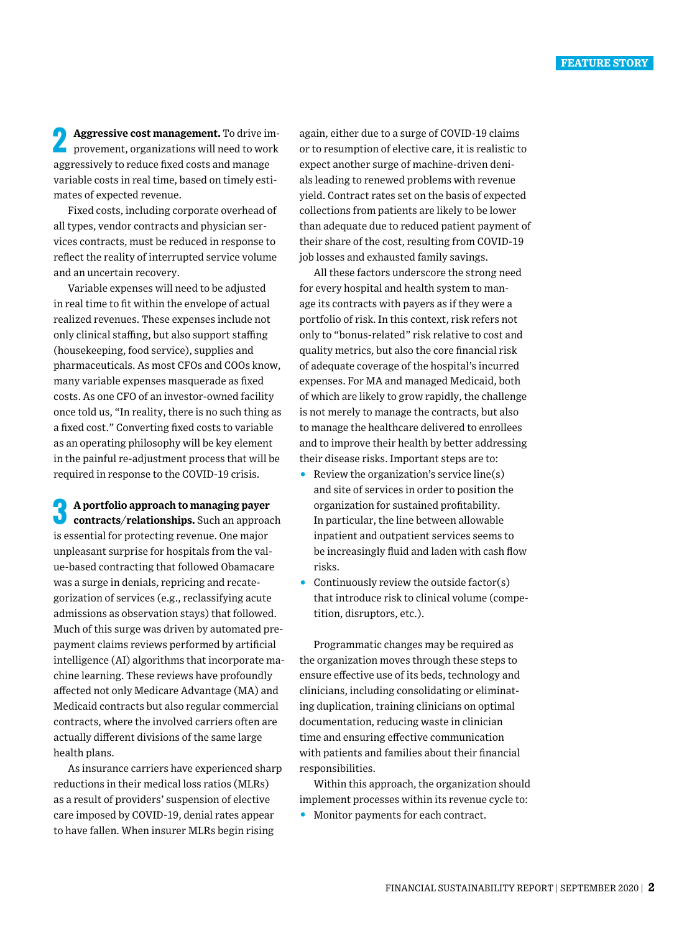**22 Aggressive cost management.** To drive improvement, organizations will need to work aggressively to reduce fixed costs and manage variable costs in real time, based on timely estimates of expected revenue.

Fixed costs, including corporate overhead of all types, vendor contracts and physician services contracts, must be reduced in response to reflect the reality of interrupted service volume and an uncertain recovery.

Variable expenses will need to be adjusted in real time to fit within the envelope of actual realized revenues. These expenses include not only clinical staffing, but also support staffing (housekeeping, food service), supplies and pharmaceuticals. As most CFOs and COOs know, many variable expenses masquerade as fixed costs. As one CFO of an investor-owned facility once told us, "In reality, there is no such thing as a fixed cost." Converting fixed costs to variable as an operating philosophy will be key element in the painful re-adjustment process that will be required in response to the COVID-19 crisis.

**3 A portfolio approach to managing payer contracts/relationships.** Such an approach is essential for protecting revenue. One major unpleasant surprise for hospitals from the value-based contracting that followed Obamacare was a surge in denials, repricing and recategorization of services (e.g., reclassifying acute admissions as observation stays) that followed. Much of this surge was driven by automated prepayment claims reviews performed by artificial intelligence (AI) algorithms that incorporate machine learning. These reviews have profoundly affected not only Medicare Advantage (MA) and Medicaid contracts but also regular commercial contracts, where the involved carriers often are actually different divisions of the same large health plans.

As insurance carriers have experienced sharp reductions in their medical loss ratios (MLRs) as a result of providers' suspension of elective care imposed by COVID-19, denial rates appear to have fallen. When insurer MLRs begin rising

again, either due to a surge of COVID-19 claims or to resumption of elective care, it is realistic to expect another surge of machine-driven denials leading to renewed problems with revenue yield. Contract rates set on the basis of expected collections from patients are likely to be lower than adequate due to reduced patient payment of their share of the cost, resulting from COVID-19 job losses and exhausted family savings.

All these factors underscore the strong need for every hospital and health system to manage its contracts with payers as if they were a portfolio of risk. In this context, risk refers not only to "bonus-related" risk relative to cost and quality metrics, but also the core financial risk of adequate coverage of the hospital's incurred expenses. For MA and managed Medicaid, both of which are likely to grow rapidly, the challenge is not merely to manage the contracts, but also to manage the healthcare delivered to enrollees and to improve their health by better addressing their disease risks. Important steps are to:

- Review the organization's service line $(s)$ and site of services in order to position the organization for sustained profitability. In particular, the line between allowable inpatient and outpatient services seems to be increasingly fluid and laden with cash flow risks.
- Continuously review the outside  $factor(s)$ that introduce risk to clinical volume (competition, disruptors, etc.).

Programmatic changes may be required as the organization moves through these steps to ensure effective use of its beds, technology and clinicians, including consolidating or eliminating duplication, training clinicians on optimal documentation, reducing waste in clinician time and ensuring effective communication with patients and families about their financial responsibilities.

Within this approach, the organization should implement processes within its revenue cycle to:

• Monitor payments for each contract.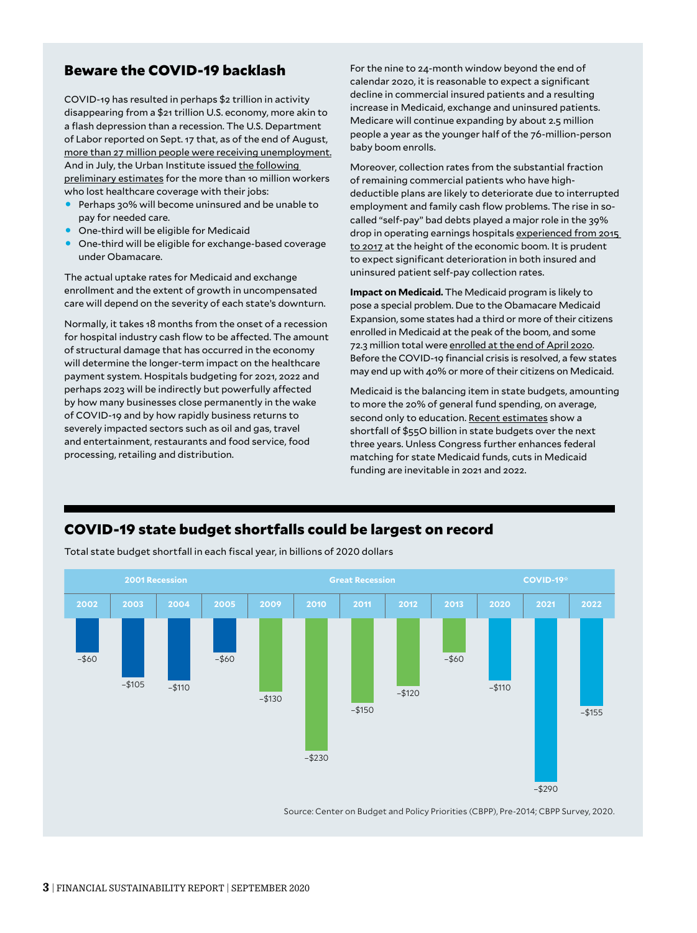## Beware the COVID-19 backlash

COVID-19 has resulted in perhaps \$2 trillion in activity disappearing from a \$21 trillion U.S. economy, more akin to a flash depression than a recession. The U.S. Department of Labor reported on Sept. 17 that, as of the end of August, [more than 27 million people were receiving unemployment.](https://www.dol.gov/ui/data.pdf) And in July, the Urban Institute issued [the following](https://www.rwjf.org/en/library/research/2020/07/changes-in-health-insurance-coverage-due-to-the-covid-19-recession--preliminary-estimates-using-microsimulation.html)  [preliminary estimates](https://www.rwjf.org/en/library/research/2020/07/changes-in-health-insurance-coverage-due-to-the-covid-19-recession--preliminary-estimates-using-microsimulation.html) for the more than 10 million workers who lost healthcare coverage with their jobs:

- Perhaps 30% will become uninsured and be unable to pay for needed care.
- One-third will be eligible for Medicaid
- One-third will be eligible for exchange-based coverage under Obamacare.

The actual uptake rates for Medicaid and exchange enrollment and the extent of growth in uncompensated care will depend on the severity of each state's downturn.

Normally, it takes 18 months from the onset of a recession for hospital industry cash flow to be affected. The amount of structural damage that has occurred in the economy will determine the longer-term impact on the healthcare payment system. Hospitals budgeting for 2021, 2022 and perhaps 2023 will be indirectly but powerfully affected by how many businesses close permanently in the wake of COVID-19 and by how rapidly business returns to severely impacted sectors such as oil and gas, travel and entertainment, restaurants and food service, food processing, retailing and distribution.

For the nine to 24-month window beyond the end of calendar 2020, it is reasonable to expect a significant decline in commercial insured patients and a resulting increase in Medicaid, exchange and uninsured patients. Medicare will continue expanding by about 2.5 million people a year as the younger half of the 76-million-person baby boom enrolls.

Moreover, collection rates from the substantial fraction of remaining commercial patients who have highdeductible plans are likely to deteriorate due to interrupted employment and family cash flow problems. The rise in socalled "self-pay" bad debts played a major role in the 39% drop in operating earnings hospitals [experienced from 2015](https://guidehouse.com/insights/healthcare/2018/health-systems-financial-analysis)  [to 2017](https://guidehouse.com/insights/healthcare/2018/health-systems-financial-analysis) at the height of the economic boom. It is prudent to expect significant deterioration in both insured and uninsured patient self-pay collection rates.

**Impact on Medicaid.** The Medicaid program is likely to pose a special problem. Due to the Obamacare Medicaid Expansion, some states had a third or more of their citizens enrolled in Medicaid at the peak of the boom, and some 72.3 million total were [enrolled at the end of April 2020](https://www.kff.org/health-reform/state-indicator/total-monthly-medicaid-and-chip-enrollment/?currentTimeframe=0&sortModel=%7B%22colId%22:%22Location%22,%22sort%22:%22asc%22%7D). Before the COVID-19 financial crisis is resolved, a few states may end up with 40% or more of their citizens on Medicaid.

Medicaid is the balancing item in state budgets, amounting to more the 20% of general fund spending, on average, second only to education. [Recent estimates](https://www.cbpp.org/research/state-budget-and-tax/states-grappling-with-hit-to-tax-collections) show a shortfall of \$55O billion in state budgets over the next three years. Unless Congress further enhances federal matching for state Medicaid funds, cuts in Medicaid funding are inevitable in 2021 and 2022.

# COVID-19 state budget shortfalls could be largest on record



Total state budget shortfall in each fiscal year, in billions of 2020 dollars

Source: Center on Budget and Policy Priorities (CBPP), Pre-2014; CBPP Survey, 2020.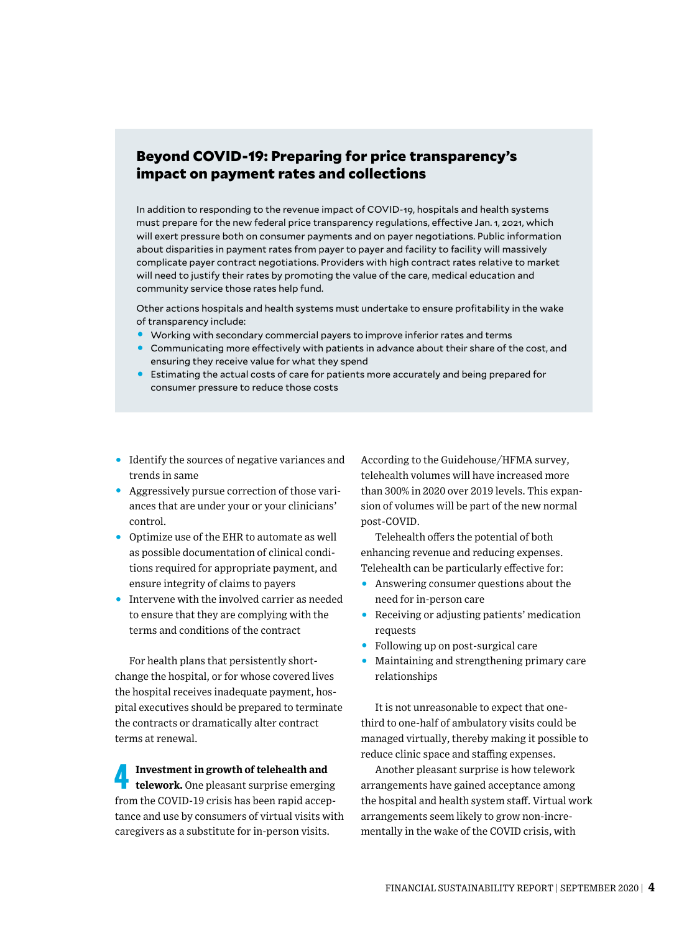## Beyond COVID-19: Preparing for price transparency's impact on payment rates and collections

In addition to responding to the revenue impact of COVID-19, hospitals and health systems must prepare for the new federal price transparency regulations, effective Jan. 1, 2021, which will exert pressure both on consumer payments and on payer negotiations. Public information about disparities in payment rates from payer to payer and facility to facility will massively complicate payer contract negotiations. Providers with high contract rates relative to market will need to justify their rates by promoting the value of the care, medical education and community service those rates help fund.

Other actions hospitals and health systems must undertake to ensure profitability in the wake of transparency include:

- Working with secondary commercial payers to improve inferior rates and terms
- Communicating more effectively with patients in advance about their share of the cost, and ensuring they receive value for what they spend
- Estimating the actual costs of care for patients more accurately and being prepared for consumer pressure to reduce those costs
- Identify the sources of negative variances and trends in same
- Aggressively pursue correction of those variances that are under your or your clinicians' control.
- Optimize use of the EHR to automate as well as possible documentation of clinical conditions required for appropriate payment, and ensure integrity of claims to payers
- Intervene with the involved carrier as needed to ensure that they are complying with the terms and conditions of the contract

For health plans that persistently shortchange the hospital, or for whose covered lives the hospital receives inadequate payment, hospital executives should be prepared to terminate the contracts or dramatically alter contract terms at renewal.

**4 Investment in growth of telehealth and telework.** One pleasant surprise emerging from the COVID-19 crisis has been rapid acceptance and use by consumers of virtual visits with caregivers as a substitute for in-person visits.

According to the Guidehouse/HFMA survey, telehealth volumes will have increased more than 300% in 2020 over 2019 levels. This expansion of volumes will be part of the new normal post-COVID.

Telehealth offers the potential of both enhancing revenue and reducing expenses. Telehealth can be particularly effective for:

- Answering consumer questions about the need for in-person care
- Receiving or adjusting patients' medication requests
- Following up on post-surgical care
- Maintaining and strengthening primary care relationships

It is not unreasonable to expect that onethird to one-half of ambulatory visits could be managed virtually, thereby making it possible to reduce clinic space and staffing expenses.

Another pleasant surprise is how telework arrangements have gained acceptance among the hospital and health system staff. Virtual work arrangements seem likely to grow non-incrementally in the wake of the COVID crisis, with